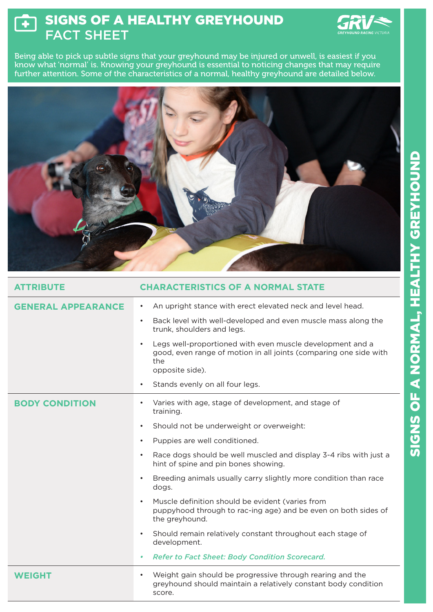## SIGNS OF A HEALTHY GREYHOUND  $\mathbf{F}$ FACT SHEET



Being able to pick up subtle signs that your greyhound may be injured or unwell, is easiest if you know what 'normal' is. Knowing your greyhound is essential to noticing changes that may require further attention. Some of the characteristics of a normal, healthy greyhound are detailed below.



| <b>ATTRIBUTE</b>          | <b>CHARACTERISTICS OF A NORMAL STATE</b>                                                                                                                              |
|---------------------------|-----------------------------------------------------------------------------------------------------------------------------------------------------------------------|
| <b>GENERAL APPEARANCE</b> | An upright stance with erect elevated neck and level head.<br>$\bullet$                                                                                               |
|                           | Back level with well-developed and even muscle mass along the<br>$\bullet$<br>trunk, shoulders and legs.                                                              |
|                           | Legs well-proportioned with even muscle development and a<br>$\bullet$<br>good, even range of motion in all joints (comparing one side with<br>the<br>opposite side). |
|                           | Stands evenly on all four legs.<br>$\bullet$                                                                                                                          |
| <b>BODY CONDITION</b>     | Varies with age, stage of development, and stage of<br>$\bullet$<br>training.                                                                                         |
|                           | Should not be underweight or overweight:<br>$\bullet$                                                                                                                 |
|                           | Puppies are well conditioned.<br>$\bullet$                                                                                                                            |
|                           | Race dogs should be well muscled and display 3-4 ribs with just a<br>$\bullet$<br>hint of spine and pin bones showing.                                                |
|                           | Breeding animals usually carry slightly more condition than race<br>$\bullet$<br>dogs.                                                                                |
|                           | Muscle definition should be evident (varies from<br>$\bullet$<br>puppyhood through to rac-ing age) and be even on both sides of<br>the greyhound.                     |
|                           | Should remain relatively constant throughout each stage of<br>$\bullet$<br>development.                                                                               |
|                           | <b>Refer to Fact Sheet: Body Condition Scorecard.</b><br>۰                                                                                                            |
| <b>WEIGHT</b>             | Weight gain should be progressive through rearing and the<br>٠<br>greyhound should maintain a relatively constant body condition<br>score.                            |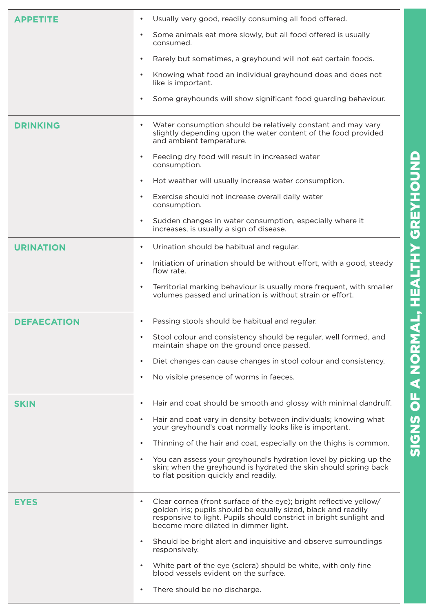|                    | $\bullet$                                                                                                                                                                                                                                                        |
|--------------------|------------------------------------------------------------------------------------------------------------------------------------------------------------------------------------------------------------------------------------------------------------------|
| <b>APPETITE</b>    | Usually very good, readily consuming all food offered.<br>Some animals eat more slowly, but all food offered is usually<br>$\bullet$<br>consumed.<br>Rarely but sometimes, a greyhound will not eat certain foods.<br>$\bullet$                                  |
|                    | Knowing what food an individual greyhound does and does not<br>$\bullet$                                                                                                                                                                                         |
|                    | like is important.<br>Some greyhounds will show significant food guarding behaviour.<br>$\bullet$                                                                                                                                                                |
|                    |                                                                                                                                                                                                                                                                  |
| <b>DRINKING</b>    | Water consumption should be relatively constant and may vary<br>$\bullet$<br>slightly depending upon the water content of the food provided<br>and ambient temperature.                                                                                          |
|                    | Feeding dry food will result in increased water<br>$\bullet$<br>consumption.                                                                                                                                                                                     |
|                    | Hot weather will usually increase water consumption.<br>$\bullet$                                                                                                                                                                                                |
|                    | Exercise should not increase overall daily water<br>$\bullet$<br>consumption.                                                                                                                                                                                    |
|                    | Sudden changes in water consumption, especially where it<br>$\bullet$<br>increases, is usually a sign of disease.                                                                                                                                                |
| <b>URINATION</b>   | Urination should be habitual and regular.<br>$\bullet$                                                                                                                                                                                                           |
|                    | Initiation of urination should be without effort, with a good, steady<br>$\bullet$<br>flow rate.                                                                                                                                                                 |
|                    | Territorial marking behaviour is usually more frequent, with smaller<br>$\bullet$<br>volumes passed and urination is without strain or effort.                                                                                                                   |
| <b>DEFAECATION</b> | Passing stools should be habitual and regular.<br>٠                                                                                                                                                                                                              |
|                    | Stool colour and consistency should be regular, well formed, and<br>$\bullet$<br>maintain shape on the ground once passed.                                                                                                                                       |
|                    | Diet changes can cause changes in stool colour and consistency.<br>$\bullet$                                                                                                                                                                                     |
|                    | No visible presence of worms in faeces.<br>$\bullet$                                                                                                                                                                                                             |
| <b>SKIN</b>        | Hair and coat should be smooth and glossy with minimal dandruff.<br>$\bullet$                                                                                                                                                                                    |
|                    | Hair and coat vary in density between individuals; knowing what<br>$\bullet$<br>your greyhound's coat normally looks like is important.                                                                                                                          |
|                    | Thinning of the hair and coat, especially on the thighs is common.<br>$\bullet$                                                                                                                                                                                  |
|                    | You can assess your greyhound's hydration level by picking up the<br>$\bullet$<br>skin; when the greyhound is hydrated the skin should spring back<br>to flat position quickly and readily.                                                                      |
| <b>EYES</b>        | Clear cornea (front surface of the eye); bright reflective yellow/<br>$\bullet$<br>golden iris; pupils should be equally sized, black and readily<br>responsive to light. Pupils should constrict in bright sunlight and<br>become more dilated in dimmer light. |
|                    | Should be bright alert and inquisitive and observe surroundings<br>$\bullet$<br>responsively.                                                                                                                                                                    |
|                    | White part of the eye (sclera) should be white, with only fine<br>$\bullet$<br>blood vessels evident on the surface.                                                                                                                                             |
|                    | There should be no discharge.<br>$\bullet$                                                                                                                                                                                                                       |